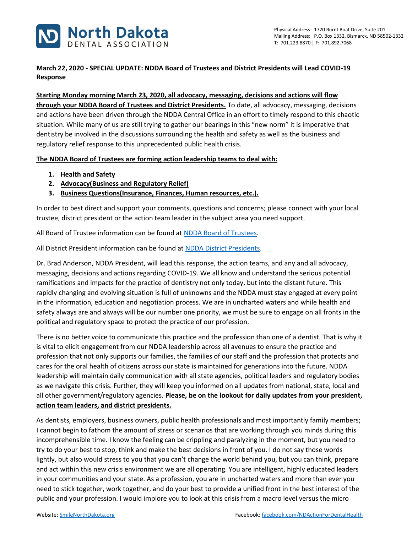

## **March 22, 2020 - SPECIAL UPDATE: NDDA Board of Trustees and District Presidents will Lead COVID-19 Response**

**Starting Monday morning March 23, 2020, all advocacy, messaging, decisions and actions will flow through your NDDA Board of Trustees and District Presidents.** To date, all advocacy, messaging, decisions and actions have been driven through the NDDA Central Office in an effort to timely respond to this chaotic situation. While many of us are still trying to gather our bearings in this "new norm" it is imperative that dentistry be involved in the discussions surrounding the health and safety as well as the business and regulatory relief response to this unprecedented public health crisis.

**The NDDA Board of Trustees are forming action leadership teams to deal with:**

- **1. Health and Safety**
- **2. Advocacy(Business and Regulatory Relief)**
- **3. Business Questions(Insurance, Finances, Human resources, etc.).**

In order to best direct and support your comments, questions and concerns; please connect with your local trustee, district president or the action team leader in the subject area you need support.

All Board of Trustee information can be found at [NDDA Board of Trustees.](https://www.smilenorthdakota.org/about-us/ndda-board)

All District President information can be found at [NDDA District Presidents.](https://www.smilenorthdakota.org/about-us/districts)

Dr. Brad Anderson, NDDA President, will lead this response, the action teams, and any and all advocacy, messaging, decisions and actions regarding COVID-19. We all know and understand the serious potential ramifications and impacts for the practice of dentistry not only today, but into the distant future. This rapidly changing and evolving situation is full of unknowns and the NDDA must stay engaged at every point in the information, education and negotiation process. We are in uncharted waters and while health and safety always are and always will be our number one priority, we must be sure to engage on all fronts in the political and regulatory space to protect the practice of our profession.

There is no better voice to communicate this practice and the profession than one of a dentist. That is why it is vital to elicit engagement from our NDDA leadership across all avenues to ensure the practice and profession that not only supports our families, the families of our staff and the profession that protects and cares for the oral health of citizens across our state is maintained for generations into the future. NDDA leadership will maintain daily communication with all state agencies, political leaders and regulatory bodies as we navigate this crisis. Further, they will keep you informed on all updates from national, state, local and all other government/regulatory agencies. **Please, be on the lookout for daily updates from your president, action team leaders, and district presidents.**

As dentists, employers, business owners, public health professionals and most importantly family members; I cannot begin to fathom the amount of stress or scenarios that are working through you minds during this incomprehensible time. I know the feeling can be crippling and paralyzing in the moment, but you need to try to do your best to stop, think and make the best decisions in front of you. I do not say those words lightly, but also would stress to you that you can't change the world behind you, but you can think, prepare and act within this new crisis environment we are all operating. You are intelligent, highly educated leaders in your communities and your state. As a profession, you are in uncharted waters and more than ever you need to stick together, work together, and do your best to provide a unified front in the best interest of the public and your profession. I would implore you to look at this crisis from a macro level versus the micro